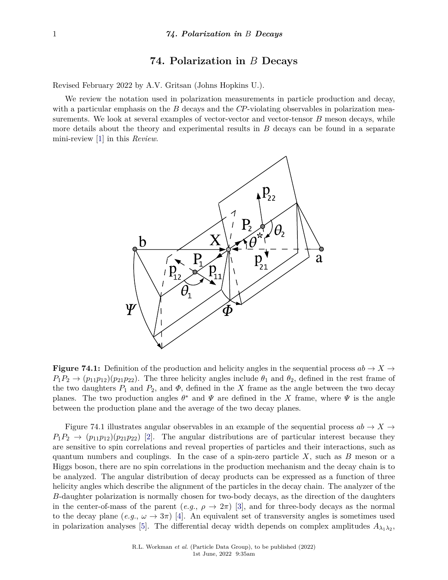## **74. Polarization in** *B* **Decays**

Revised February 2022 by A.V. Gritsan (Johns Hopkins U.).

We review the notation used in polarization measurements in particle production and decay, with a particular emphasis on the *B* decays and the *CP*-violating observables in polarization measurements. We look at several examples of vector-vector and vector-tensor *B* meson decays, while more details about the theory and experimental results in *B* decays can be found in a separate mini-review [\[1\]](#page-5-0) in this *Review*.



**Figure 74.1:** Definition of the production and helicity angles in the sequential process  $ab \rightarrow X \rightarrow$  $P_1P_2 \rightarrow (p_{11}p_{12})(p_{21}p_{22})$ . The three helicity angles include  $\theta_1$  and  $\theta_2$ , defined in the rest frame of the two daughters  $P_1$  and  $P_2$ , and  $\Phi$ , defined in the *X* frame as the angle between the two decay planes. The two production angles  $\theta^*$  and  $\Psi$  are defined in the *X* frame, where  $\Psi$  is the angle between the production plane and the average of the two decay planes.

Figure 74.1 illustrates angular observables in an example of the sequential process  $ab \to X \to$  $P_1P_2 \rightarrow (p_{11}p_{12})(p_{21}p_{22})$  [\[2\]](#page-5-1). The angular distributions are of particular interest because they are sensitive to spin correlations and reveal properties of particles and their interactions, such as quantum numbers and couplings. In the case of a spin-zero particle *X*, such as *B* meson or a Higgs boson, there are no spin correlations in the production mechanism and the decay chain is to be analyzed. The angular distribution of decay products can be expressed as a function of three helicity angles which describe the alignment of the particles in the decay chain. The analyzer of the *B*-daughter polarization is normally chosen for two-body decays, as the direction of the daughters in the center-of-mass of the parent  $(e.g., \rho \to 2\pi)$  [\[3\]](#page-5-2), and for three-body decays as the normal to the decay plane  $(e.g., \omega \rightarrow 3\pi)$  [\[4\]](#page-5-3). An equivalent set of transversity angles is sometimes used in polarization analyses [\[5\]](#page-5-4). The differential decay width depends on complex amplitudes  $A_{\lambda_1\lambda_2}$ ,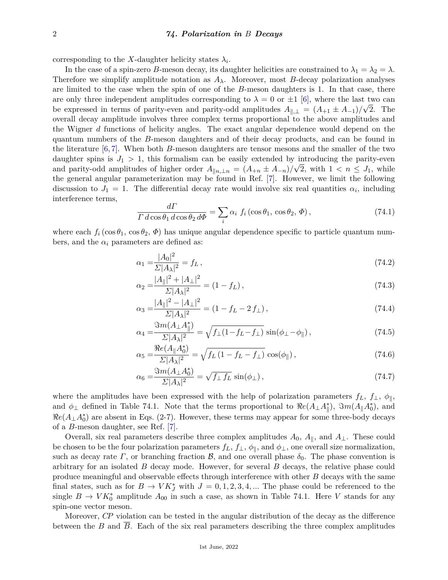corresponding to the *X*-daughter helicity states  $\lambda_i$ .

In the case of a spin-zero *B*-meson decay, its daughter helicities are constrained to  $\lambda_1 = \lambda_2 = \lambda$ . Therefore we simplify amplitude notation as  $A_\lambda$ . Moreover, most *B*-decay polarization analyses are limited to the case when the spin of one of the *B*-meson daughters is 1. In that case, there are only three independent amplitudes corresponding to  $\lambda = 0$  or  $\pm 1$  [\[6\]](#page-5-5), where the last two can be expressed in terms of parity-even and parity-odd amplitudes  $A_{\parallel,\perp} = (A_{+1} \pm A_{-1})/\sqrt{2}$ . The overall decay amplitude involves three complex terms proportional to the above amplitudes and the Wigner *d* functions of helicity angles. The exact angular dependence would depend on the quantum numbers of the *B*-meson daughters and of their decay products, and can be found in the literature [\[6,](#page-5-5) [7\]](#page-5-6). When both *B*-meson daughters are tensor mesons and the smaller of the two daughter spins is  $J_1 > 1$ , this formalism can be easily extended by introducing the parity-even and parity-odd amplitudes of higher order  $A_{\|n,\perp n} = (A_{+n} \pm A_{-n})/\sqrt{2}$ , with  $1 \lt n \leq J_1$ , while the general angular parameterization may be found in Ref. [\[7\]](#page-5-6). However, we limit the following discussion to  $J_1 = 1$ . The differential decay rate would involve six real quantities  $\alpha_i$ , including interference terms,

$$
\frac{d\Gamma}{\Gamma d\cos\theta_1 d\cos\theta_2 d\Phi} = \sum_i \alpha_i f_i(\cos\theta_1, \cos\theta_2, \Phi), \qquad (74.1)
$$

where each  $f_i(\cos \theta_1, \cos \theta_2, \Phi)$  has unique angular dependence specific to particle quantum numbers, and the  $\alpha_i$  parameters are defined as:

$$
\alpha_1 = \frac{|A_0|^2}{\Sigma |A_\lambda|^2} = f_L \,,\tag{74.2}
$$

$$
\alpha_2 = \frac{|A_{\parallel}|^2 + |A_{\perp}|^2}{\Sigma |A_{\lambda}|^2} = (1 - f_L),\tag{74.3}
$$

$$
\alpha_3 = \frac{|A_{\parallel}|^2 - |A_{\perp}|^2}{\Sigma |A_{\lambda}|^2} = (1 - f_L - 2 f_{\perp}),\tag{74.4}
$$

$$
\alpha_4 = \frac{\Im m(A_\perp A_\parallel^*)}{\Sigma |A_\lambda|^2} = \sqrt{f_\perp (1 - f_L - f_\perp)} \sin(\phi_\perp - \phi_\parallel),\tag{74.5}
$$

$$
\alpha_5 = \frac{\Re e(A_{\parallel}A_0^*)}{\Sigma |A_{\lambda}|^2} = \sqrt{f_L(1 - f_L - f_{\perp})} \cos(\phi_{\parallel}), \qquad (74.6)
$$

$$
\alpha_6 = \frac{\Im m(A_\perp A_0^*)}{\Sigma |A_\lambda|^2} = \sqrt{f_\perp f_L} \sin(\phi_\perp),\tag{74.7}
$$

where the amplitudes have been expressed with the help of polarization parameters  $f_L$ ,  $f_\perp$ ,  $\phi_{\parallel}$ , and  $\phi_{\perp}$  defined in Table 74.1. Note that the terms proportional to  $\Re e(A_{\perp}A_{\parallel}^*)$ ,  $\Im m(A_{\parallel}A_0^*)$ , and  $Re(A_{\perp}A_0^*)$  are absent in Eqs. (2-7). However, these terms may appear for some three-body decays of a *B*-meson daughter, see Ref. [\[7\]](#page-5-6).

Overall, six real parameters describe three complex amplitudes  $A_0$ ,  $A_{\parallel}$ , and  $A_{\perp}$ . These could be chosen to be the four polarization parameters  $f_L$ ,  $f_\perp$ ,  $\phi_{\parallel}$ , and  $\phi_{\perp}$ , one overall size normalization, such as decay rate *Γ*, or branching fraction *B*, and one overall phase  $\delta_0$ . The phase convention is arbitrary for an isolated *B* decay mode. However, for several *B* decays, the relative phase could produce meaningful and observable effects through interference with other *B* decays with the same final states, such as for  $B \to V K_J^*$  with  $J = 0, 1, 2, 3, 4, ...$  The phase could be referenced to the single  $B \to V K_0^*$  amplitude  $A_{00}$  in such a case, as shown in Table 74.1. Here *V* stands for any spin-one vector meson.

Moreover, *CP* violation can be tested in the angular distribution of the decay as the difference between the *B* and *B*. Each of the six real parameters describing the three complex amplitudes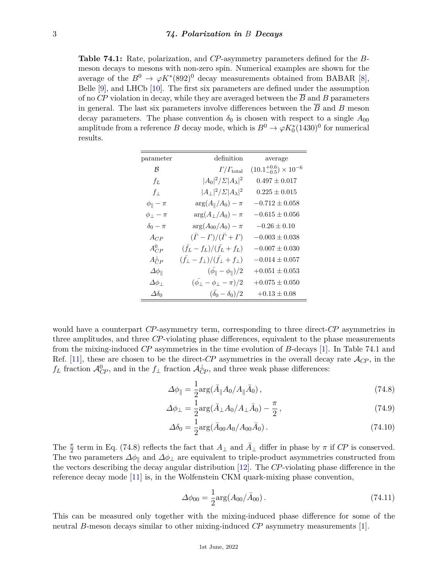**Table 74.1:** Rate, polarization, and *CP*-asymmetry parameters defined for the *B*meson decays to mesons with non-zero spin. Numerical examples are shown for the average of the  $B^0 \to \varphi K^*(892)^0$  decay measurements obtained from BABAR [\[8\]](#page-5-7), Belle [\[9\]](#page-5-8), and LHCb [\[10\]](#page-5-9). The first six parameters are defined under the assumption of no *CP* violation in decay, while they are averaged between the  $\overline{B}$  and *B* parameters in general. The last six parameters involve differences between the  $\overline{B}$  and *B* meson decay parameters. The phase convention  $\delta_0$  is chosen with respect to a single  $A_{00}$ amplitude from a reference *B* decay mode, which is  $B^0 \to \varphi K_0^*(1430)^0$  for numerical results.

| parameter                | definition                                                    | average                               |
|--------------------------|---------------------------------------------------------------|---------------------------------------|
| ĸ                        | $\Gamma/\Gamma_{\rm total}$                                   | $(10.1^{+0.6}_{-0.5}) \times 10^{-6}$ |
| $f_L$                    | $ A_0 ^2/\Sigma  A_\lambda ^2$                                | $0.497 \pm 0.017$                     |
| $f_{\perp}$              | $ A_\perp ^2/\Sigma  A_\lambda ^2$                            | $0.225 \pm 0.015$                     |
| $\phi_{\parallel} - \pi$ | $\arg(A_{\parallel}/A_0) - \pi$                               | $-0.712 \pm 0.058$                    |
| $\phi_{\perp} - \pi$     | $\arg(A_{\perp}/A_0) - \pi$                                   | $-0.615 \pm 0.056$                    |
| $\delta_0-\pi$           | $\arg(A_{00}/A_0) - \pi$                                      | $-0.26 \pm 0.10$                      |
| $A_{CP}$                 | $(\bar{\Gamma}-\Gamma)/(\bar{\Gamma}+\Gamma)$                 | $-0.003 \pm 0.038$                    |
| $A_{CP}^0$               | $(\bar{f}_L - f_L)/(\bar{f}_L + f_L)$                         | $-0.007 \pm 0.030$                    |
| $A_{CP}^{\perp}$         | $(\bar{f}_{\perp} - f_{\perp})/(\bar{f}_{\perp} + f_{\perp})$ | $-0.014 \pm 0.057$                    |
| $\Delta\phi_{\parallel}$ | $(\bar{\phi_{\parallel}} - \phi_{\parallel})/2$               | $+0.051 \pm 0.053$                    |
| $\Delta\phi_\perp$       | $(\bar{\phi_+}-\phi_+-\pi)/2$                                 | $+0.075 \pm 0.050$                    |
| $\Delta \delta_0$        | $(\bar{\delta_0}-\delta_0)/2$                                 | $+0.13 \pm 0.08$                      |

would have a counterpart *CP*-asymmetry term, corresponding to three direct-*CP* asymmetries in three amplitudes, and three *CP*-violating phase differences, equivalent to the phase measurements from the mixing-induced *CP* asymmetries in the time evolution of *B*-decays [\[1\]](#page-5-0). In Table 74.1 and Ref. [\[11\]](#page-5-10), these are chosen to be the direct- $CP$  asymmetries in the overall decay rate  $\mathcal{A}_{CP}$ , in the  $f_L$  fraction  $\mathcal{A}_{CP}^0$ , and in the  $f_{\perp}$  fraction  $\mathcal{A}_{CP}^{\perp}$ , and three weak phase differences:

$$
\Delta\phi_{\parallel} = \frac{1}{2} \text{arg}(\bar{A}_{\parallel} A_0 / A_{\parallel} \bar{A}_0), \qquad (74.8)
$$

$$
\Delta\phi_{\perp} = \frac{1}{2} \arg(\bar{A}_{\perp} A_0 / A_{\perp} \bar{A}_0) - \frac{\pi}{2},\tag{74.9}
$$

$$
\Delta \delta_0 = \frac{1}{2} \arg(\bar{A}_{00} A_0 / A_{00} \bar{A}_0). \tag{74.10}
$$

The  $\frac{\pi}{2}$  term in Eq. (74.8) reflects the fact that  $A_{\perp}$  and  $\overline{A}_{\perp}$  differ in phase by  $\pi$  if  $C\overline{P}$  is conserved. The two parameters  $\Delta\phi_{\parallel}$  and  $\Delta\phi_{\perp}$  are equivalent to triple-product asymmetries constructed from the vectors describing the decay angular distribution [\[12\]](#page-5-11). The *CP*-violating phase difference in the reference decay mode [\[11\]](#page-5-10) is, in the Wolfenstein CKM quark-mixing phase convention,

$$
\Delta\phi_{00} = \frac{1}{2}\arg(A_{00}/\bar{A}_{00}).
$$
\n(74.11)

This can be measured only together with the mixing-induced phase difference for some of the neutral *B*-meson decays similar to other mixing-induced *CP* asymmetry measurements [\[1\]](#page-5-0).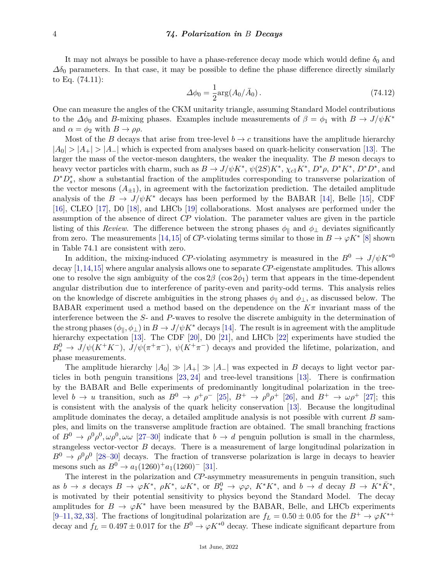It may not always be possible to have a phase-reference decay mode which would define  $\delta_0$  and  $\Delta\delta_0$  parameters. In that case, it may be possible to define the phase difference directly similarly to Eq. (74.11):

$$
\Delta\phi_0 = \frac{1}{2}\arg(A_0/\bar{A}_0). \tag{74.12}
$$

One can measure the angles of the CKM unitarity triangle, assuming Standard Model contributions to the  $\Delta\phi_0$  and *B*-mixing phases. Examples include measurements of  $\beta = \phi_1$  with  $B \to J/\psi K^*$ and  $\alpha = \phi_2$  with  $B \to \rho \rho$ .

Most of the *B* decays that arise from tree-level  $b \rightarrow c$  transitions have the amplitude hierarchy  $|A_0| > |A_+| > |A_-|$  which is expected from analyses based on quark-helicity conservation [\[13\]](#page-5-12). The larger the mass of the vector-meson daughters, the weaker the inequality. The *B* meson decays to heavy vector particles with charm, such as  $B \to J/\psi K^*$ ,  $\psi(2S)K^*$ ,  $\chi_{c1}K^*$ ,  $D^*\rho$ ,  $D^*K^*$ ,  $D^*D^*$ , and *D*<sup>∗</sup>*D*<sup>∗</sup><sub>*s*</sub>, show a substantial fraction of the amplitudes corresponding to transverse polarization of the vector mesons  $(A_{\pm 1})$ , in agreement with the factorization prediction. The detailed amplitude analysis of the  $B \to J/\psi K^*$  decays has been performed by the BABAR [\[14\]](#page-5-13), Belle [\[15\]](#page-5-14), CDF [\[16\]](#page-5-15), CLEO [\[17\]](#page-5-16), D0 [\[18\]](#page-5-17), and LHCb [\[19\]](#page-5-18) collaborations. Most analyses are performed under the assumption of the absence of direct *CP* violation. The parameter values are given in the particle listing of this *Review*. The difference between the strong phases  $\phi_{\parallel}$  and  $\phi_{\perp}$  deviates significantly from zero. The measurements [\[14,](#page-5-13)[15\]](#page-5-14) of *CP*-violating terms similar to those in  $B \to \varphi K^*$  [\[8\]](#page-5-7) shown in Table 74.1 are consistent with zero.

In addition, the mixing-induced *CP*-violating asymmetry is measured in the  $B^0 \to J/\psi K^{*0}$ decay [\[1,](#page-5-0)[14,](#page-5-13)[15\]](#page-5-14) where angular analysis allows one to separate *CP*-eigenstate amplitudes. This allows one to resolve the sign ambiguity of the  $\cos 2\beta$  ( $\cos 2\phi_1$ ) term that appears in the time-dependent angular distribution due to interference of parity-even and parity-odd terms. This analysis relies on the knowledge of discrete ambiguities in the strong phases  $\phi_{\parallel}$  and  $\phi_{\perp}$ , as discussed below. The BABAR experiment used a method based on the dependence on the  $K\pi$  invariant mass of the interference between the *S*- and *P*-waves to resolve the discrete ambiguity in the determination of the strong phases  $(\phi_{\parallel}, \phi_{\perp})$  in  $B \to J/\psi K^*$  decays [\[14\]](#page-5-13). The result is in agreement with the amplitude hierarchy expectation [\[13\]](#page-5-12). The CDF [\[20\]](#page-5-19), D0 [\[21\]](#page-5-20), and LHCb [\[22\]](#page-5-21) experiments have studied the  $B_s^0 \to J/\psi(K^+K^-)$ ,  $J/\psi(\pi^+\pi^-)$ ,  $\psi(K^+\pi^-)$  decays and provided the lifetime, polarization, and phase measurements.

The amplitude hierarchy  $|A_0| \gg |A_+| \gg |A_-|$  was expected in *B* decays to light vector particles in both penguin transitions [\[23,](#page-5-22) [24\]](#page-5-23) and tree-level transitions [\[13\]](#page-5-12). There is confirmation by the BABAR and Belle experiments of predominantly longitudinal polarization in the treelevel  $b \to u$  transition, such as  $B^0 \to \rho^+\rho^-$  [\[25\]](#page-6-0),  $B^+ \to \rho^0\rho^+$  [\[26\]](#page-6-1), and  $B^+ \to \omega\rho^+$  [\[27\]](#page-6-2); this is consistent with the analysis of the quark helicity conservation [\[13\]](#page-5-12). Because the longitudinal amplitude dominates the decay, a detailed amplitude analysis is not possible with current *B* samples, and limits on the transverse amplitude fraction are obtained. The small branching fractions of  $B^0 \to \rho^0 \rho^0, \omega \rho^0, \omega \omega$  [\[27–](#page-6-2)[30\]](#page-6-3) indicate that  $b \to d$  penguin pollution is small in the charmless, strangeless vector-vector *B* decays. There is a measurement of large longitudinal polarization in  $B^0 \to \rho^0 \rho^0$  [\[28–](#page-6-4)[30\]](#page-6-3) decays. The fraction of transverse polarization is large in decays to heavier mesons such as  $B^0 \rightarrow a_1(1260)^+a_1(1260)^-$  [\[31\]](#page-6-5).

The interest in the polarization and *CP*-asymmetry measurements in penguin transition, such as  $b \to s$  decays  $B \to \varphi K^*$ ,  $\rho K^*$ ,  $\omega K^*$ , or  $B_s^0 \to \varphi \varphi$ ,  $K^* K^*$ , and  $b \to d$  decay  $B \to K^* \overline{K}^*$ , is motivated by their potential sensitivity to physics beyond the Standard Model. The decay amplitudes for  $B \to \varphi K^*$  have been measured by the BABAR, Belle, and LHCb experiments [\[9](#page-5-8)[–11,](#page-5-10) [32,](#page-6-6) [33\]](#page-6-7). The fractions of longitudinal polarization are  $f<sub>L</sub> = 0.50 \pm 0.05$  for the  $B^+ \to \varphi K^{*+}$ decay and  $f_L = 0.497 \pm 0.017$  for the  $B^0 \rightarrow \varphi K^{*0}$  decay. These indicate significant departure from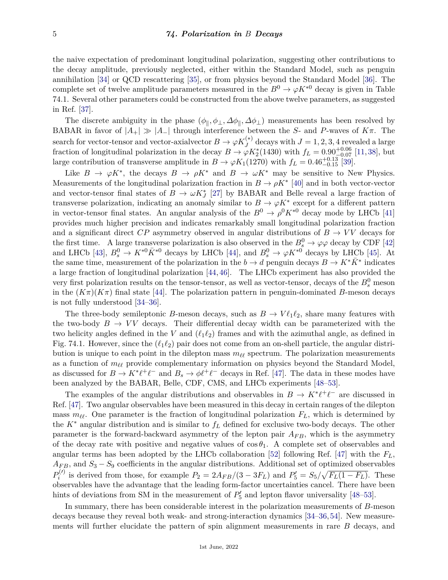the naive expectation of predominant longitudinal polarization, suggesting other contributions to the decay amplitude, previously neglected, either within the Standard Model, such as penguin annihilation [\[34\]](#page-6-8) or QCD rescattering [\[35\]](#page-6-9), or from physics beyond the Standard Model [\[36\]](#page-6-10). The complete set of twelve amplitude parameters measured in the  $B^0 \to \varphi K^{*0}$  decay is given in Table 74.1. Several other parameters could be constructed from the above twelve parameters, as suggested in Ref. [\[37\]](#page-6-11).

The discrete ambiguity in the phase  $(\phi_{\parallel}, \phi_{\perp}, \Delta\phi_{\parallel}, \Delta\phi_{\perp})$  measurements has been resolved by BABAR in favor of  $|A_+| \gg |A_-|$  through interference between the *S*- and *P*-waves of  $K\pi$ . The search for vector-tensor and vector-axialvector  $B \to \varphi K_J^{(*)}$  decays with  $J = 1, 2, 3, 4$  revealed a large fraction of longitudinal polarization in the decay  $B \to \varphi K_2^*(1430)$  with  $f_L = 0.90_{-0.07}^{+0.06}$  [\[11,](#page-5-10) [38\]](#page-6-12), but large contribution of transverse amplitude in  $B \to \varphi K_1(1270)$  with  $f_L = 0.46^{+0.13}_{-0.15}$  [\[39\]](#page-6-13).

Like  $B \to \varphi K^*$ , the decays  $B \to \rho K^*$  and  $B \to \omega K^*$  may be sensitive to New Physics. Measurements of the longitudinal polarization fraction in  $B \to \rho K^*$  [\[40\]](#page-6-14) and in both vector-vector and vector-tensor final states of  $B \to \omega K_J^*$  [\[27\]](#page-6-2) by BABAR and Belle reveal a large fraction of transverse polarization, indicating an anomaly similar to  $B \to \varphi K^*$  except for a different pattern in vector-tensor final states. An angular analysis of the  $B^0 \to \rho^0 K^{*0}$  decay mode by LHCb [\[41\]](#page-6-15) provides much higher precision and indicates remarkably small longitudinal polarization fraction and a significant direct  $\overline{CP}$  asymmetry observed in angular distributions of  $B \to VV$  decays for the first time. A large transverse polarization is also observed in the  $B_s^0 \to \varphi \varphi$  decay by CDF [\[42\]](#page-7-0) and LHCb [\[43\]](#page-7-1),  $B_s^0 \to K^{*0} \bar{K}^{*0}$  decays by LHCb [\[44\]](#page-7-2), and  $B_s^0 \to \varphi K^{*0}$  decays by LHCb [\[45\]](#page-7-3). At the same time, measurement of the polarization in the *b*  $\rightarrow d$  penguin decays  $B \rightarrow K^* \overline{K}^*$  indicates a large fraction of longitudinal polarization [\[44,](#page-7-2) [46\]](#page-7-4). The LHCb experiment has also provided the very first polarization results on the tensor-tensor, as well as vector-tensor, decays of the  $B_s^0$  meson in the  $(K\pi)(K\pi)$  final state [\[44\]](#page-7-2). The polarization pattern in penguin-dominated *B*-meson decays is not fully understood [\[34–](#page-6-8)[36\]](#page-6-10).

The three-body semileptonic *B*-meson decays, such as  $B \to V \ell_1 \ell_2$ , share many features with the two-body  $B \to VV$  decays. Their differential decay width can be parameterized with the two helicity angles defined in the *V* and  $(\ell_1 \ell_2)$  frames and with the azimuthal angle, as defined in Fig. 74.1. However, since the  $(\ell_1 \ell_2)$  pair does not come from an on-shell particle, the angular distribution is unique to each point in the dilepton mass  $m_{\ell\ell}$  spectrum. The polarization measurements as a function of  $m_{\ell\ell}$  provide complementary information on physics beyond the Standard Model, as discussed for  $B \to K^* \ell^+ \ell^-$  and  $B_s \to \phi \ell^+ \ell^-$  decays in Ref. [\[47\]](#page-7-5). The data in these modes have been analyzed by the BABAR, Belle, CDF, CMS, and LHCb experiments [\[48–](#page-7-6)[53\]](#page-7-7).

The examples of the angular distributions and observables in  $B \to K^* \ell^+ \ell^-$  are discussed in Ref. [\[47\]](#page-7-5). Two angular observables have been measured in this decay in certain ranges of the dilepton mass  $m_{\ell\ell}$ . One parameter is the fraction of longitudinal polarization  $F_L$ , which is determined by the *K*<sup>∗</sup> angular distribution and is similar to *f<sup>L</sup>* defined for exclusive two-body decays. The other parameter is the forward-backward asymmetry of the lepton pair *AF B*, which is the asymmetry of the decay rate with positive and negative values of  $\cos \theta_1$ . A complete set of observables and angular terms has been adopted by the LHCb collaboration [\[52\]](#page-7-8) following Ref. [\[47\]](#page-7-5) with the *FL*,  $A_{FB}$ , and  $S_3 - S_9$  coefficients in the angular distributions. Additional set of optimized observables  $P_i^{(\prime)}$ *i*<sup>(*t*</sup>) is derived from those, for example  $P_2 = 2A_{FB}/(3-3F_L)$  and  $P'_5 = S_5/\sqrt{F_L(1-F_L)}$ . These observables have the advantage that the leading form-factor uncertainties cancel. There have been hints of deviations from SM in the measurement of  $P'_5$  and lepton flavor universality [\[48](#page-7-6)[–53\]](#page-7-7).

In summary, there has been considerable interest in the polarization measurements of *B*-meson decays because they reveal both weak- and strong-interaction dynamics [\[34–](#page-6-8)[36,](#page-6-10)[54\]](#page-7-9). New measurements will further elucidate the pattern of spin alignment measurements in rare *B* decays, and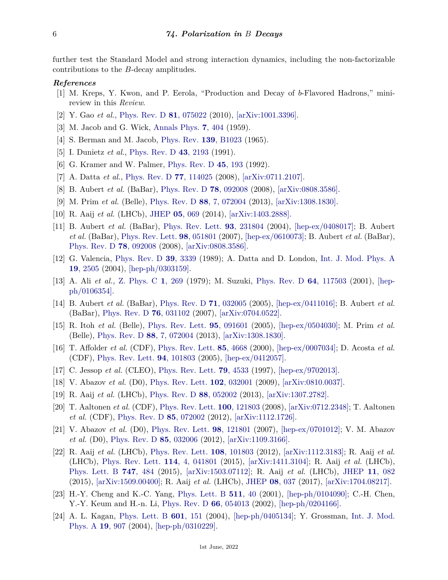further test the Standard Model and strong interaction dynamics, including the non-factorizable contributions to the *B*-decay amplitudes.

## <span id="page-5-0"></span>*References*

- [1] M. Kreps, Y. Kwon, and P. Eerola, "Production and Decay of *b*-Flavored Hadrons," minireview in this *Review*.
- <span id="page-5-2"></span><span id="page-5-1"></span>[2] Y. Gao *et al.*, [Phys. Rev. D](http://doi.org/10.1103/PhysRevD.81.075022) **81**[, 075022](http://doi.org/10.1103/PhysRevD.81.075022) (2010), [\[arXiv:1001.3396\].](https://arxiv.org/abs/1001.3396)
- <span id="page-5-3"></span>[3] M. Jacob and G. Wick, [Annals Phys.](http://doi.org/10.1016/0003-4916(59)90051-X) **7**[, 404](http://doi.org/10.1016/0003-4916(59)90051-X) (1959).
- <span id="page-5-4"></span>[4] S. Berman and M. Jacob, [Phys. Rev.](http://doi.org/10.1103/PhysRev.139.B1023) **139**[, B1023](http://doi.org/10.1103/PhysRev.139.B1023) (1965).
- [5] I. Dunietz *et al.*, [Phys. Rev. D](http://doi.org/10.1103/PhysRevD.43.2193) **43**[, 2193](http://doi.org/10.1103/PhysRevD.43.2193) (1991).
- <span id="page-5-5"></span>[6] G. Kramer and W. Palmer, [Phys. Rev. D](http://doi.org/10.1103/PhysRevD.45.193) **45**[, 193](http://doi.org/10.1103/PhysRevD.45.193) (1992).
- <span id="page-5-6"></span>[7] A. Datta *et al.*, [Phys. Rev. D](http://doi.org/10.1103/PhysRevD.77.114025) **77**[, 114025](http://doi.org/10.1103/PhysRevD.77.114025) (2008), [\[arXiv:0711.2107\].](https://arxiv.org/abs/0711.2107)
- <span id="page-5-7"></span>[8] B. Aubert *et al.* (BaBar), [Phys. Rev. D](http://doi.org/10.1103/PhysRevD.78.092008) **78**[, 092008](http://doi.org/10.1103/PhysRevD.78.092008) (2008), [\[arXiv:0808.3586\].](https://arxiv.org/abs/0808.3586)
- <span id="page-5-8"></span>[9] M. Prim *et al.* (Belle), [Phys. Rev. D](http://doi.org/10.1103/PhysRevD.88.072004) **88**[, 7, 072004](http://doi.org/10.1103/PhysRevD.88.072004) (2013), [\[arXiv:1308.1830\].](https://arxiv.org/abs/1308.1830)
- <span id="page-5-9"></span>[10] R. Aaij *et al.* (LHCb), [JHEP](http://doi.org/10.1007/JHEP05(2014)069) **05**[, 069](http://doi.org/10.1007/JHEP05(2014)069) (2014), [\[arXiv:1403.2888\].](https://arxiv.org/abs/1403.2888)
- <span id="page-5-10"></span>[11] B. Aubert *et al.* (BaBar), [Phys. Rev. Lett.](http://doi.org/10.1103/PhysRevLett.93.231804) **93**[, 231804](http://doi.org/10.1103/PhysRevLett.93.231804) (2004), [\[hep-ex/0408017\];](https://arxiv.org/abs/hep-ex/0408017) B. Aubert *et al.* (BaBar), [Phys. Rev. Lett.](http://doi.org/10.1103/PhysRevLett.98.051801) **98**[, 051801](http://doi.org/10.1103/PhysRevLett.98.051801) (2007), [\[hep-ex/0610073\];](https://arxiv.org/abs/hep-ex/0610073) B. Aubert *et al.* (BaBar), [Phys. Rev. D](http://doi.org/10.1103/PhysRevD.78.092008) **78**[, 092008](http://doi.org/10.1103/PhysRevD.78.092008) (2008), [\[arXiv:0808.3586\].](https://arxiv.org/abs/0808.3586)
- <span id="page-5-11"></span>[12] G. Valencia, [Phys. Rev. D](http://doi.org/10.1103/PhysRevD.39.3339) **39**[, 3339](http://doi.org/10.1103/PhysRevD.39.3339) (1989); A. Datta and D. London, [Int. J. Mod. Phys. A](http://doi.org/10.1142/S0217751X04018300) **19**[, 2505](http://doi.org/10.1142/S0217751X04018300) (2004), [\[hep-ph/0303159\].](https://arxiv.org/abs/hep-ph/0303159)
- <span id="page-5-12"></span>[13] A. Ali *et al.*, [Z. Phys. C](http://doi.org/10.1007/BF01440227) **1**[, 269](http://doi.org/10.1007/BF01440227) (1979); M. Suzuki, [Phys. Rev. D](http://doi.org/10.1103/PhysRevD.64.117503) **64**[, 117503](http://doi.org/10.1103/PhysRevD.64.117503) (2001), [\[hep](https://arxiv.org/abs/hep-ph/0106354)[ph/0106354\].](https://arxiv.org/abs/hep-ph/0106354)
- <span id="page-5-13"></span>[14] B. Aubert *et al.* (BaBar), [Phys. Rev. D](http://doi.org/10.1103/PhysRevD.71.032005) **71**[, 032005](http://doi.org/10.1103/PhysRevD.71.032005) (2005), [\[hep-ex/0411016\];](https://arxiv.org/abs/hep-ex/0411016) B. Aubert *et al.* (BaBar), [Phys. Rev. D](http://doi.org/10.1103/PhysRevD.76.031102) **76**[, 031102](http://doi.org/10.1103/PhysRevD.76.031102) (2007), [\[arXiv:0704.0522\].](https://arxiv.org/abs/0704.0522)
- <span id="page-5-14"></span>[15] R. Itoh *et al.* (Belle), [Phys. Rev. Lett.](http://doi.org/10.1103/PhysRevLett.95.091601) **95**[, 091601](http://doi.org/10.1103/PhysRevLett.95.091601) (2005), [\[hep-ex/0504030\];](https://arxiv.org/abs/hep-ex/0504030) M. Prim *et al.* (Belle), [Phys. Rev. D](http://doi.org/10.1103/PhysRevD.88.072004) **88**[, 7, 072004](http://doi.org/10.1103/PhysRevD.88.072004) (2013), [\[arXiv:1308.1830\].](https://arxiv.org/abs/1308.1830)
- <span id="page-5-15"></span>[16] T. Affolder *et al.* (CDF), [Phys. Rev. Lett.](http://doi.org/10.1103/PhysRevLett.85.4668) **85**[, 4668](http://doi.org/10.1103/PhysRevLett.85.4668) (2000), [\[hep-ex/0007034\];](https://arxiv.org/abs/hep-ex/0007034) D. Acosta *et al.* (CDF), [Phys. Rev. Lett.](http://doi.org/10.1103/PhysRevLett.94.101803) **94**[, 101803](http://doi.org/10.1103/PhysRevLett.94.101803) (2005), [\[hep-ex/0412057\].](https://arxiv.org/abs/hep-ex/0412057)
- <span id="page-5-17"></span><span id="page-5-16"></span>[17] C. Jessop *et al.* (CLEO), [Phys. Rev. Lett.](http://doi.org/10.1103/PhysRevLett.79.4533) **79**[, 4533](http://doi.org/10.1103/PhysRevLett.79.4533) (1997), [\[hep-ex/9702013\].](https://arxiv.org/abs/hep-ex/9702013)
- [18] V. Abazov *et al.* (D0), [Phys. Rev. Lett.](http://doi.org/10.1103/PhysRevLett.102.032001) **102**[, 032001](http://doi.org/10.1103/PhysRevLett.102.032001) (2009), [\[arXiv:0810.0037\].](https://arxiv.org/abs/0810.0037)
- <span id="page-5-18"></span>[19] R. Aaij *et al.* (LHCb), [Phys. Rev. D](http://doi.org/10.1103/PhysRevD.88.052002) **88**[, 052002](http://doi.org/10.1103/PhysRevD.88.052002) (2013), [\[arXiv:1307.2782\].](https://arxiv.org/abs/1307.2782)
- <span id="page-5-19"></span>[20] T. Aaltonen *et al.* (CDF), [Phys. Rev. Lett.](http://doi.org/10.1103/PhysRevLett.100.121803) **100**[, 121803](http://doi.org/10.1103/PhysRevLett.100.121803) (2008), [\[arXiv:0712.2348\];](https://arxiv.org/abs/0712.2348) T. Aaltonen *et al.* (CDF), [Phys. Rev. D](http://doi.org/10.1103/PhysRevD.85.072002) **85**[, 072002](http://doi.org/10.1103/PhysRevD.85.072002) (2012), [\[arXiv:1112.1726\].](https://arxiv.org/abs/1112.1726)
- <span id="page-5-20"></span>[21] V. Abazov *et al.* (D0), [Phys. Rev. Lett.](http://doi.org/10.1103/PhysRevLett.98.121801) **98**[, 121801](http://doi.org/10.1103/PhysRevLett.98.121801) (2007), [\[hep-ex/0701012\];](https://arxiv.org/abs/hep-ex/0701012) V. M. Abazov *et al.* (D0), [Phys. Rev. D](http://doi.org/10.1103/PhysRevD.85.032006) **85**[, 032006](http://doi.org/10.1103/PhysRevD.85.032006) (2012), [\[arXiv:1109.3166\].](https://arxiv.org/abs/1109.3166)
- <span id="page-5-21"></span>[22] R. Aaij *et al.* (LHCb), [Phys. Rev. Lett.](http://doi.org/10.1103/PhysRevLett.108.101803) **108**[, 101803](http://doi.org/10.1103/PhysRevLett.108.101803) (2012), [\[arXiv:1112.3183\];](https://arxiv.org/abs/1112.3183) R. Aaij *et al.* (LHCb), [Phys. Rev. Lett.](http://doi.org/10.1103/PhysRevLett.114.041801) **114**[, 4, 041801](http://doi.org/10.1103/PhysRevLett.114.041801) (2015), [\[arXiv:1411.3104\];](https://arxiv.org/abs/1411.3104) R. Aaij *et al.* (LHCb), [Phys. Lett. B](http://doi.org/10.1016/j.physletb.2015.06.038) **747**[, 484](http://doi.org/10.1016/j.physletb.2015.06.038) (2015), [\[arXiv:1503.07112\];](https://arxiv.org/abs/1503.07112) R. Aaij *et al.* (LHCb), [JHEP](http://doi.org/10.1007/JHEP11(2015)082) **11**[, 082](http://doi.org/10.1007/JHEP11(2015)082) (2015), [\[arXiv:1509.00400\];](https://arxiv.org/abs/1509.00400) R. Aaij *et al.* (LHCb), [JHEP](http://doi.org/10.1007/JHEP08(2017)037) **08**[, 037](http://doi.org/10.1007/JHEP08(2017)037) (2017), [\[arXiv:1704.08217\].](https://arxiv.org/abs/1704.08217)
- <span id="page-5-22"></span>[23] H.-Y. Cheng and K.-C. Yang, [Phys. Lett. B](http://doi.org/10.1016/S0370-2693(01)00606-2) **[511](http://doi.org/10.1016/S0370-2693(01)00606-2)**, 40 (2001), [\[hep-ph/0104090\];](https://arxiv.org/abs/hep-ph/0104090) C.-H. Chen, Y.-Y. Keum and H.-n. Li, [Phys. Rev. D](http://doi.org/10.1103/PhysRevD.66.054013) **66**[, 054013](http://doi.org/10.1103/PhysRevD.66.054013) (2002), [\[hep-ph/0204166\].](https://arxiv.org/abs/hep-ph/0204166)
- <span id="page-5-23"></span>[24] A. L. Kagan, [Phys. Lett. B](http://doi.org/10.1016/j.physletb.2004.09.030) **601**[, 151](http://doi.org/10.1016/j.physletb.2004.09.030) (2004), [\[hep-ph/0405134\];](https://arxiv.org/abs/hep-ph/0405134) Y. Grossman, [Int. J. Mod.](http://doi.org/10.1142/S0217751X04018865) [Phys. A](http://doi.org/10.1142/S0217751X04018865) **19**[, 907](http://doi.org/10.1142/S0217751X04018865) (2004), [\[hep-ph/0310229\].](https://arxiv.org/abs/hep-ph/0310229)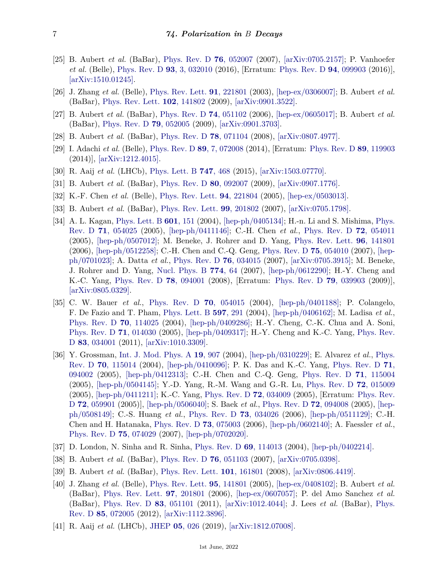- <span id="page-6-0"></span>[25] B. Aubert *et al.* (BaBar), [Phys. Rev. D](http://doi.org/10.1103/PhysRevD.76.052007) **76**[, 052007](http://doi.org/10.1103/PhysRevD.76.052007) (2007), [\[arXiv:0705.2157\];](https://arxiv.org/abs/0705.2157) P. Vanhoefer *et al.* (Belle), [Phys. Rev. D](http://doi.org/10.1103/PhysRevD.93.032010) **93**[, 3, 032010](http://doi.org/10.1103/PhysRevD.93.032010) (2016), [Erratum: [Phys. Rev. D](https://journals.aps.org/prd/abstract/10.1103/PhysRevD.94.099903) **94**, 099903 (2016)], [\[arXiv:1510.01245\].](https://arxiv.org/abs/1510.01245)
- <span id="page-6-1"></span>[26] J. Zhang *et al.* (Belle), [Phys. Rev. Lett.](http://doi.org/10.1103/PhysRevLett.91.221801) **91**[, 221801](http://doi.org/10.1103/PhysRevLett.91.221801) (2003), [\[hep-ex/0306007\];](https://arxiv.org/abs/hep-ex/0306007) B. Aubert *et al.* (BaBar), [Phys. Rev. Lett.](http://doi.org/10.1103/PhysRevLett.102.141802) **102**[, 141802](http://doi.org/10.1103/PhysRevLett.102.141802) (2009), [\[arXiv:0901.3522\].](https://arxiv.org/abs/0901.3522)
- <span id="page-6-2"></span>[27] B. Aubert *et al.* (BaBar), [Phys. Rev. D](http://doi.org/10.1103/PhysRevD.74.051102) **74**[, 051102](http://doi.org/10.1103/PhysRevD.74.051102) (2006), [\[hep-ex/0605017\];](https://arxiv.org/abs/hep-ex/0605017) B. Aubert *et al.* (BaBar), [Phys. Rev. D](http://doi.org/10.1103/PhysRevD.79.052005) **79**[, 052005](http://doi.org/10.1103/PhysRevD.79.052005) (2009), [\[arXiv:0901.3703\].](https://arxiv.org/abs/0901.3703)
- <span id="page-6-4"></span>[28] B. Aubert *et al.* (BaBar), [Phys. Rev. D](http://doi.org/10.1103/PhysRevD.78.071104) **78**[, 071104](http://doi.org/10.1103/PhysRevD.78.071104) (2008), [\[arXiv:0807.4977\].](https://arxiv.org/abs/0807.4977)
- [29] I. Adachi *et al.* (Belle), [Phys. Rev. D](http://doi.org/10.1103/PhysRevD.89.072008) **89**[, 7, 072008](http://doi.org/10.1103/PhysRevD.89.072008) (2014), [Erratum: [Phys. Rev. D](https://journals.aps.org/prd/abstract/10.1103/PhysRevD.89.119903) **89**, 119903 (2014)], [\[arXiv:1212.4015\].](https://arxiv.org/abs/1212.4015)
- <span id="page-6-3"></span>[30] R. Aaij *et al.* (LHCb), [Phys. Lett. B](http://doi.org/10.1016/j.physletb.2015.06.027) **747**[, 468](http://doi.org/10.1016/j.physletb.2015.06.027) (2015), [\[arXiv:1503.07770\].](https://arxiv.org/abs/1503.07770)
- <span id="page-6-5"></span>[31] B. Aubert *et al.* (BaBar), [Phys. Rev. D](http://doi.org/10.1103/PhysRevD.80.092007) **80**[, 092007](http://doi.org/10.1103/PhysRevD.80.092007) (2009), [\[arXiv:0907.1776\].](https://arxiv.org/abs/0907.1776)
- <span id="page-6-6"></span>[32] K.-F. Chen *et al.* (Belle), [Phys. Rev. Lett.](http://doi.org/10.1103/PhysRevLett.94.221804) **94**[, 221804](http://doi.org/10.1103/PhysRevLett.94.221804) (2005), [\[hep-ex/0503013\].](https://arxiv.org/abs/hep-ex/0503013)
- <span id="page-6-7"></span>[33] B. Aubert *et al.* (BaBar), [Phys. Rev. Lett.](http://doi.org/10.1103/PhysRevLett.99.201802) **99**[, 201802](http://doi.org/10.1103/PhysRevLett.99.201802) (2007), [\[arXiv:0705.1798\].](https://arxiv.org/abs/0705.1798)
- <span id="page-6-8"></span>[34] A. L. Kagan, [Phys. Lett. B](http://doi.org/10.1016/j.physletb.2004.09.030) **601**[, 151](http://doi.org/10.1016/j.physletb.2004.09.030) (2004), [\[hep-ph/0405134\];](https://arxiv.org/abs/hep-ph/0405134) H.-n. Li and S. Mishima, [Phys.](http://doi.org/10.1103/PhysRevD.71.054025) [Rev. D](http://doi.org/10.1103/PhysRevD.71.054025) **71**[, 054025](http://doi.org/10.1103/PhysRevD.71.054025) (2005), [\[hep-ph/0411146\];](https://arxiv.org/abs/hep-ph/0411146) C.-H. Chen *et al.*, [Phys. Rev. D](http://doi.org/10.1103/PhysRevD.72.054011) **72**[, 054011](http://doi.org/10.1103/PhysRevD.72.054011) (2005), [\[hep-ph/0507012\];](https://arxiv.org/abs/hep-ph/0507012) M. Beneke, J. Rohrer and D. Yang, [Phys. Rev. Lett.](http://doi.org/10.1103/PhysRevLett.96.141801) **96**[, 141801](http://doi.org/10.1103/PhysRevLett.96.141801) (2006), [\[hep-ph/0512258\];](https://arxiv.org/abs/hep-ph/0512258) C.-H. Chen and C.-Q. Geng, [Phys. Rev. D](http://doi.org/10.1103/PhysRevD.75.054010) **75**[, 054010](http://doi.org/10.1103/PhysRevD.75.054010) (2007), [\[hep](https://arxiv.org/abs/hep-ph/0701023)[ph/0701023\];](https://arxiv.org/abs/hep-ph/0701023) A. Datta *et al.*, [Phys. Rev. D](http://doi.org/10.1103/PhysRevD.76.034015) **76**[, 034015](http://doi.org/10.1103/PhysRevD.76.034015) (2007), [\[arXiv:0705.3915\];](https://arxiv.org/abs/0705.3915) M. Beneke, J. Rohrer and D. Yang, [Nucl. Phys. B](http://doi.org/10.1016/j.nuclphysb.2007.03.020) **[774](http://doi.org/10.1016/j.nuclphysb.2007.03.020)**, 64 (2007), [\[hep-ph/0612290\];](https://arxiv.org/abs/hep-ph/0612290) H.-Y. Cheng and K.-C. Yang, [Phys. Rev. D](http://doi.org/10.1103/PhysRevD.78.094001) **78**[, 094001](http://doi.org/10.1103/PhysRevD.78.094001) (2008), [Erratum: [Phys. Rev. D](https://journals.aps.org/prd/abstract/10.1103/PhysRevD.79.039903) **79**, 039903 (2009)], [\[arXiv:0805.0329\].](https://arxiv.org/abs/0805.0329)
- <span id="page-6-9"></span>[35] C. W. Bauer *et al.*, [Phys. Rev. D](http://doi.org/10.1103/PhysRevD.70.054015) **70**[, 054015](http://doi.org/10.1103/PhysRevD.70.054015) (2004), [\[hep-ph/0401188\];](https://arxiv.org/abs/hep-ph/0401188) P. Colangelo, F. De Fazio and T. Pham, [Phys. Lett. B](http://doi.org/10.1016/j.physletb.2004.07.024) **597**[, 291](http://doi.org/10.1016/j.physletb.2004.07.024) (2004), [\[hep-ph/0406162\];](https://arxiv.org/abs/hep-ph/0406162) M. Ladisa *et al.*, [Phys. Rev. D](http://doi.org/10.1103/PhysRevD.70.114025) **70**[, 114025](http://doi.org/10.1103/PhysRevD.70.114025) (2004), [\[hep-ph/0409286\];](https://arxiv.org/abs/hep-ph/0409286) H.-Y. Cheng, C.-K. Chua and A. Soni, [Phys. Rev. D](http://doi.org/10.1103/PhysRevD.71.014030) **71**[, 014030](http://doi.org/10.1103/PhysRevD.71.014030) (2005), [\[hep-ph/0409317\];](https://arxiv.org/abs/hep-ph/0409317) H.-Y. Cheng and K.-C. Yang, [Phys. Rev.](http://doi.org/10.1103/PhysRevD.83.034001) [D](http://doi.org/10.1103/PhysRevD.83.034001) **83**[, 034001](http://doi.org/10.1103/PhysRevD.83.034001) (2011), [\[arXiv:1010.3309\].](https://arxiv.org/abs/1010.3309)
- <span id="page-6-10"></span>[36] Y. Grossman, [Int. J. Mod. Phys. A](http://doi.org/10.1142/S0217751X04018865) **19**[, 907](http://doi.org/10.1142/S0217751X04018865) (2004), [\[hep-ph/0310229\];](https://arxiv.org/abs/hep-ph/0310229) E. Alvarez *et al.*, [Phys.](http://doi.org/10.1103/PhysRevD.70.115014) [Rev. D](http://doi.org/10.1103/PhysRevD.70.115014) **70**[, 115014](http://doi.org/10.1103/PhysRevD.70.115014) (2004), [\[hep-ph/0410096\];](https://arxiv.org/abs/hep-ph/0410096) P. K. Das and K.-C. Yang, [Phys. Rev. D](http://doi.org/10.1103/PhysRevD.71.094002) **[71](http://doi.org/10.1103/PhysRevD.71.094002)**, [094002](http://doi.org/10.1103/PhysRevD.71.094002) (2005), [\[hep-ph/0412313\];](https://arxiv.org/abs/hep-ph/0412313) C.-H. Chen and C.-Q. Geng, [Phys. Rev. D](http://doi.org/10.1103/PhysRevD.71.115004) **71**[, 115004](http://doi.org/10.1103/PhysRevD.71.115004) (2005), [\[hep-ph/0504145\];](https://arxiv.org/abs/hep-ph/0504145) Y.-D. Yang, R.-M. Wang and G.-R. Lu, [Phys. Rev. D](http://doi.org/10.1103/PhysRevD.72.015009) **72**[, 015009](http://doi.org/10.1103/PhysRevD.72.015009) (2005), [\[hep-ph/0411211\];](https://arxiv.org/abs/hep-ph/0411211) K.-C. Yang, [Phys. Rev. D](http://doi.org/10.1103/PhysRevD.72.034009) **72**[, 034009](http://doi.org/10.1103/PhysRevD.72.034009) (2005), [Erratum: [Phys. Rev.](https://journals.aps.org/prd/abstract/10.1103/PhysRevD.72.059901) D **72**[, 059901](https://journals.aps.org/prd/abstract/10.1103/PhysRevD.72.059901) (2005)], [\[hep-ph/0506040\];](https://arxiv.org/abs/hep-ph/0506040) S. Baek *et al.*, [Phys. Rev. D](http://doi.org/10.1103/PhysRevD.72.094008) **72**[, 094008](http://doi.org/10.1103/PhysRevD.72.094008) (2005), [\[hep](https://arxiv.org/abs/hep-ph/0508149)[ph/0508149\];](https://arxiv.org/abs/hep-ph/0508149) C.-S. Huang *et al.*, [Phys. Rev. D](http://doi.org/10.1103/PhysRevD.73.034026) **73**[, 034026](http://doi.org/10.1103/PhysRevD.73.034026) (2006), [\[hep-ph/0511129\];](https://arxiv.org/abs/hep-ph/0511129) C.-H. Chen and H. Hatanaka, [Phys. Rev. D](http://doi.org/10.1103/PhysRevD.73.075003) **73**[, 075003](http://doi.org/10.1103/PhysRevD.73.075003) (2006), [\[hep-ph/0602140\];](https://arxiv.org/abs/hep-ph/0602140) A. Faessler *et al.*, [Phys. Rev. D](http://doi.org/10.1103/PhysRevD.75.074029) **75**[, 074029](http://doi.org/10.1103/PhysRevD.75.074029) (2007), [\[hep-ph/0702020\].](https://arxiv.org/abs/hep-ph/0702020)
- <span id="page-6-11"></span>[37] D. London, N. Sinha and R. Sinha, [Phys. Rev. D](http://doi.org/10.1103/PhysRevD.69.114013) **69**[, 114013](http://doi.org/10.1103/PhysRevD.69.114013) (2004), [\[hep-ph/0402214\].](https://arxiv.org/abs/hep-ph/0402214)
- <span id="page-6-12"></span>[38] B. Aubert *et al.* (BaBar), [Phys. Rev. D](http://doi.org/10.1103/PhysRevD.76.051103) **76**[, 051103](http://doi.org/10.1103/PhysRevD.76.051103) (2007), [\[arXiv:0705.0398\].](https://arxiv.org/abs/0705.0398)
- <span id="page-6-13"></span>[39] B. Aubert *et al.* (BaBar), [Phys. Rev. Lett.](http://doi.org/10.1103/PhysRevLett.101.161801) **101**[, 161801](http://doi.org/10.1103/PhysRevLett.101.161801) (2008), [\[arXiv:0806.4419\].](https://arxiv.org/abs/0806.4419)
- <span id="page-6-14"></span>[40] J. Zhang *et al.* (Belle), [Phys. Rev. Lett.](http://doi.org/10.1103/PhysRevLett.95.141801) **95**[, 141801](http://doi.org/10.1103/PhysRevLett.95.141801) (2005), [\[hep-ex/0408102\];](https://arxiv.org/abs/hep-ex/0408102) B. Aubert *et al.* (BaBar), [Phys. Rev. Lett.](http://doi.org/10.1103/PhysRevLett.97.201801) **97**[, 201801](http://doi.org/10.1103/PhysRevLett.97.201801) (2006), [\[hep-ex/0607057\];](https://arxiv.org/abs/hep-ex/0607057) P. del Amo Sanchez *et al.* (BaBar), [Phys. Rev. D](http://doi.org/10.1103/PhysRevD.83.051101) **83**[, 051101](http://doi.org/10.1103/PhysRevD.83.051101) (2011), [\[arXiv:1012.4044\];](https://arxiv.org/abs/1012.4044) J. Lees *et al.* (BaBar), [Phys.](http://doi.org/10.1103/PhysRevD.85.072005) [Rev. D](http://doi.org/10.1103/PhysRevD.85.072005) **85**[, 072005](http://doi.org/10.1103/PhysRevD.85.072005) (2012), [\[arXiv:1112.3896\].](https://arxiv.org/abs/1112.3896)
- <span id="page-6-15"></span>[41] R. Aaij *et al.* (LHCb), [JHEP](http://doi.org/10.1007/JHEP05(2019)026) **05**[, 026](http://doi.org/10.1007/JHEP05(2019)026) (2019), [\[arXiv:1812.07008\].](https://arxiv.org/abs/1812.07008)